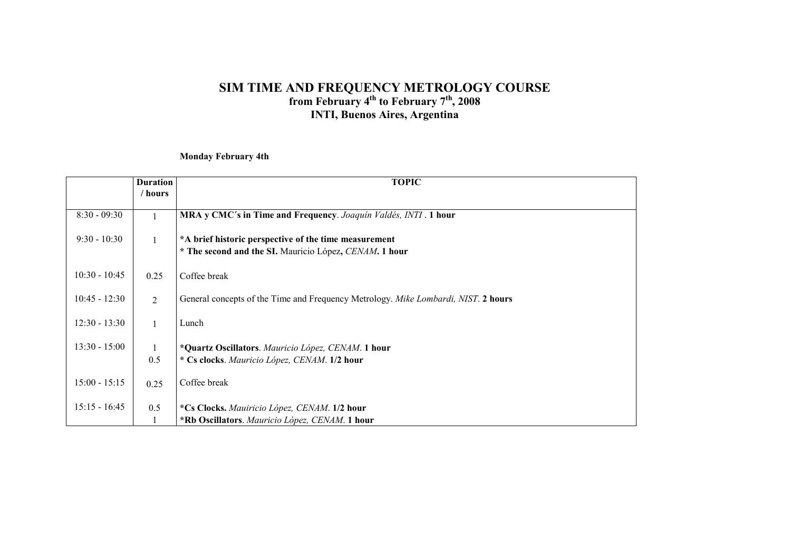Monday February 4th

|                 | <b>Duration</b><br>/ hours | <b>TOPIC</b>                                                                                                    |
|-----------------|----------------------------|-----------------------------------------------------------------------------------------------------------------|
|                 |                            |                                                                                                                 |
| $8:30 - 09:30$  |                            | MRA y CMC's in Time and Frequency. Joaquín Valdés, INTI . 1 hour                                                |
| $9:30 - 10:30$  |                            | *A brief historic perspective of the time measurement<br>* The second and the SI. Mauricio López, CENAM. 1 hour |
| $10:30 - 10:45$ | 0.25                       | Coffee break                                                                                                    |
| $10:45 - 12:30$ | $\overline{2}$             | General concepts of the Time and Frequency Metrology. Mike Lombardi, NIST. 2 hours                              |
| $12:30 - 13:30$ | $\mathbf{1}$               | Lunch                                                                                                           |
| $13:30 - 15:00$ | 0.5                        | *Quartz Oscillators. Mauricio López, CENAM. 1 hour<br>* Cs clocks. Mauricio López, CENAM. 1/2 hour              |
| $15:00 - 15:15$ | 0.25                       | Coffee break                                                                                                    |
| $15:15 - 16:45$ | 0.5                        | *Cs Clocks. Mauiricio López, CENAM. 1/2 hour<br>*Rb Oscillators. Mauricio López, CENAM. 1 hour                  |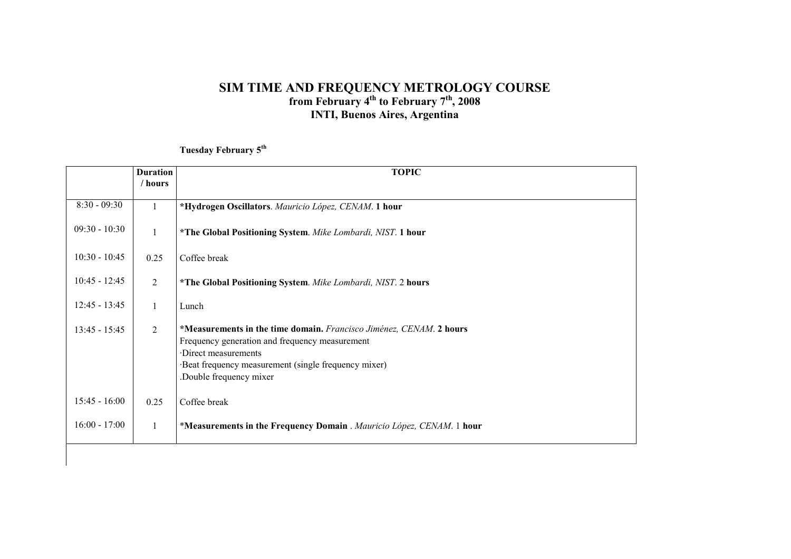Tuesday February 5<sup>th</sup>

|                 | <b>Duration</b> | <b>TOPIC</b>                                                                                                                                                                                                                   |
|-----------------|-----------------|--------------------------------------------------------------------------------------------------------------------------------------------------------------------------------------------------------------------------------|
|                 | / hours         |                                                                                                                                                                                                                                |
| $8:30 - 09:30$  | $\mathbf{1}$    | *Hydrogen Oscillators. Mauricio López, CENAM. 1 hour                                                                                                                                                                           |
| $09:30 - 10:30$ | 1               | *The Global Positioning System. Mike Lombardi, NIST. 1 hour                                                                                                                                                                    |
| $10:30 - 10:45$ | 0.25            | Coffee break                                                                                                                                                                                                                   |
| $10:45 - 12:45$ | 2               | *The Global Positioning System. Mike Lombardi, NIST. 2 hours                                                                                                                                                                   |
| $12:45 - 13:45$ | $\mathbf{1}$    | Lunch                                                                                                                                                                                                                          |
| $13:45 - 15:45$ | 2               | *Measurements in the time domain. Francisco Jiménez, CENAM. 2 hours<br>Frequency generation and frequency measurement<br>Direct measurements<br>Beat frequency measurement (single frequency mixer)<br>Double frequency mixer. |
| $15:45 - 16:00$ | 0.25            | Coffee break                                                                                                                                                                                                                   |
| $16:00 - 17:00$ | $\mathbf{1}$    | *Measurements in the Frequency Domain . Mauricio López, CENAM. 1 hour                                                                                                                                                          |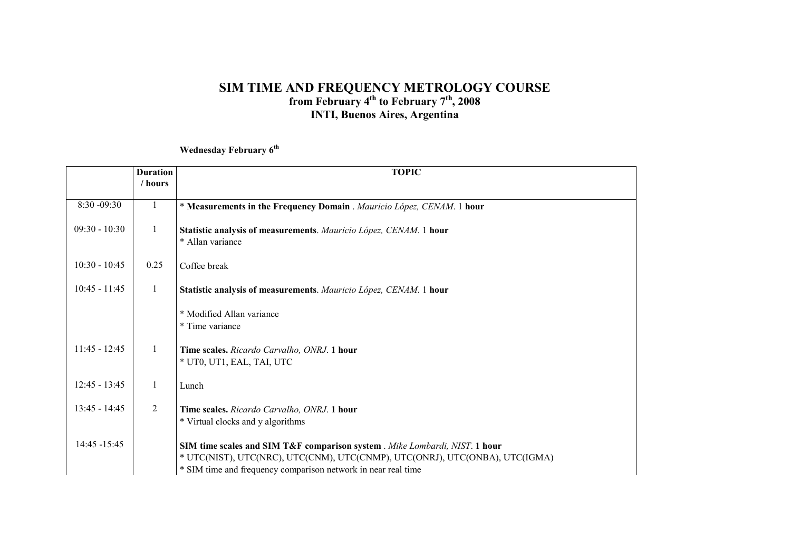Wednesday February 6<sup>th</sup>

|                 | <b>Duration</b><br>/ hours | <b>TOPIC</b>                                                                                                                                                                                                                |
|-----------------|----------------------------|-----------------------------------------------------------------------------------------------------------------------------------------------------------------------------------------------------------------------------|
|                 |                            |                                                                                                                                                                                                                             |
| 8:30 -09:30     | $\mathbf{1}$               | * Measurements in the Frequency Domain. Mauricio López, CENAM. 1 hour                                                                                                                                                       |
| $09:30 - 10:30$ | $\mathbf{1}$               | Statistic analysis of measurements. Mauricio López, CENAM. 1 hour<br>* Allan variance                                                                                                                                       |
| $10:30 - 10:45$ | 0.25                       | Coffee break                                                                                                                                                                                                                |
| $10:45 - 11:45$ | 1                          | Statistic analysis of measurements. Mauricio López, CENAM. 1 hour                                                                                                                                                           |
|                 |                            | * Modified Allan variance<br>* Time variance                                                                                                                                                                                |
| $11:45 - 12:45$ | $\mathbf{1}$               | Time scales. Ricardo Carvalho, ONRJ. 1 hour<br>* UT0, UT1, EAL, TAI, UTC                                                                                                                                                    |
| $12:45 - 13:45$ |                            | Lunch                                                                                                                                                                                                                       |
| $13:45 - 14:45$ | 2                          | Time scales. Ricardo Carvalho, ONRJ. 1 hour<br>* Virtual clocks and y algorithms                                                                                                                                            |
| 14:45 -15:45    |                            | SIM time scales and SIM T&F comparison system . Mike Lombardi, NIST. 1 hour<br>* UTC(NIST), UTC(NRC), UTC(CNM), UTC(CNMP), UTC(ONRJ), UTC(ONBA), UTC(IGMA)<br>* SIM time and frequency comparison network in near real time |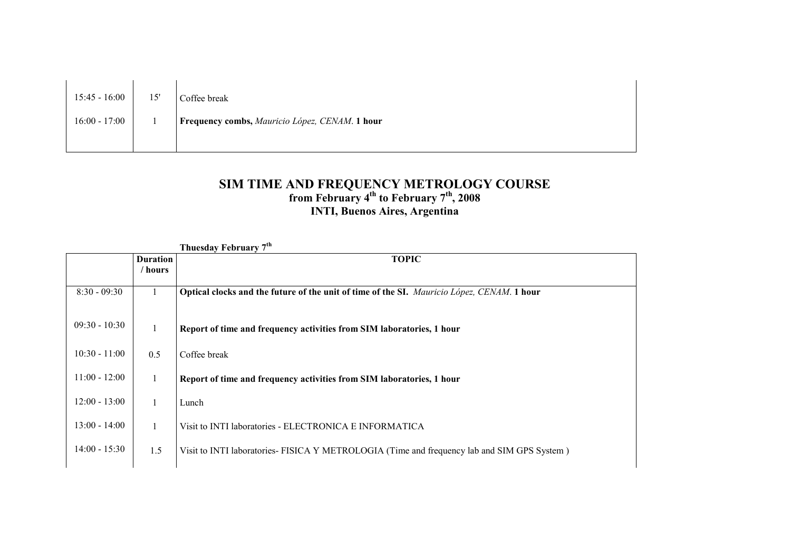| $15:45 - 16:00$ | 15' | Coffee break                                   |
|-----------------|-----|------------------------------------------------|
| $16:00 - 17:00$ |     | Frequency combs, Mauricio López, CENAM. 1 hour |
|                 |     |                                                |

| Thuesday February 7 <sup>th</sup> |                 |                                                                                            |
|-----------------------------------|-----------------|--------------------------------------------------------------------------------------------|
|                                   | <b>Duration</b> | <b>TOPIC</b>                                                                               |
|                                   | / hours         |                                                                                            |
| $8:30 - 09:30$                    |                 | Optical clocks and the future of the unit of time of the SI. Mauricio López, CENAM. 1 hour |
| $09:30 - 10:30$                   | $\mathbf{1}$    | Report of time and frequency activities from SIM laboratories, 1 hour                      |
| $10:30 - 11:00$                   | 0.5             | Coffee break                                                                               |
| $11:00 - 12:00$                   | 1               | Report of time and frequency activities from SIM laboratories, 1 hour                      |
| $12:00 - 13:00$                   |                 | Lunch                                                                                      |
| $13:00 - 14:00$                   | 1               | Visit to INTI laboratories - ELECTRONICA E INFORMATICA                                     |
| $14:00 - 15:30$                   | 1.5             | Visit to INTI laboratories-FISICA Y METROLOGIA (Time and frequency lab and SIM GPS System) |